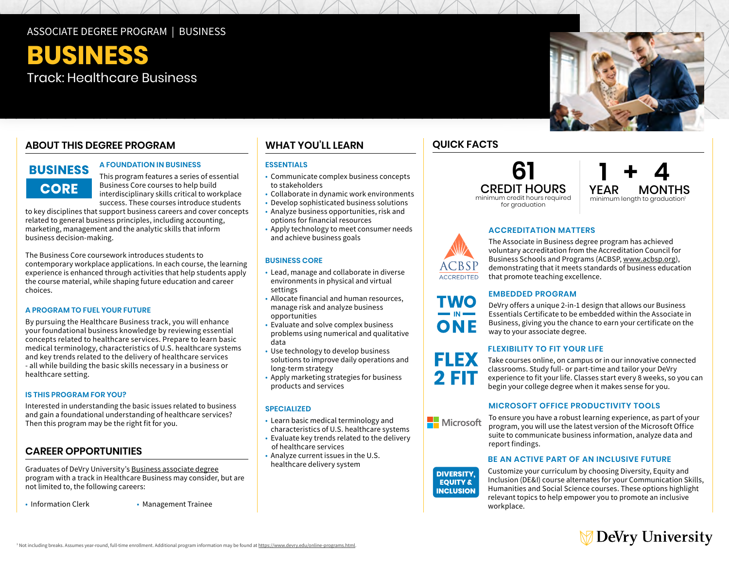### ASSOCIATE DEGREE PROGRAM | BUSINESS

**BUSINESS**  Track: Healthcare Business

## **ABOUT THIS DEGREE PROGRAM**

# **BUSINESS CORE**

### **A FOUNDATION IN BUSINESS**

This program features a series of essential Business Core courses to help build interdisciplinary skills critical to workplace success. These courses introduce students

to key disciplines that support business careers and cover concepts related to general business principles, including accounting, marketing, management and the analytic skills that inform business decision-making.

 choices. The Business Core coursework introduces students to contemporary workplace applications. In each course, the learning experience is enhanced through activities that help students apply the course material, while shaping future education and career

#### **A PROGRAM TO FUEL YOUR FUTURE**

By pursuing the Healthcare Business track, you will enhance your foundational business knowledge by reviewing essential concepts related to healthcare services. Prepare to learn basic medical terminology, characteristics of U.S. healthcare systems and key trends related to the delivery of healthcare services - all while building the basic skills necessary in a business or healthcare setting.

#### **IS THIS PROGRAM FOR YOU?**

Interested in understanding the basic issues related to business and gain a foundational understanding of healthcare services? Then this program may be the right fit for you.

### **CAREER OPPORTUNITIES**

Graduates of DeVry University's [Business associate degree](https://www.devry.edu/online-programs/associate-degrees/business.html) program with a track in Healthcare Business may consider, but are not limited to, the following careers:

- Information Clerk
- Management Trainee

## **WHAT YOU'LL LEARN**

#### **ESSENTIALS**

- • Communicate complex business concepts to stakeholders
- Collaborate in dynamic work environments
- Develop sophisticated business solutions
- • Analyze business opportunities, risk and options for financial resources
- • Apply technology to meet consumer needs and achieve business goals

#### **BUSINESS CORE**

- • Lead, manage and collaborate in diverse settings environments in physical and virtual
- settings Allocate financial and human resources, opportunities manage risk and analyze business
- opportunities Evaluate and solve complex business problems using numerical and qualitative data
- • Use technology to develop business solutions to improve daily operations and long-term strategy
- • Apply marketing strategies for business products and services

#### **SPECIALIZED**

- • Learn basic medical terminology and characteristics of U.S. healthcare systems
- Evaluate key trends related to the delivery of healthcare services
- • Analyze current issues in the U.S. healthcare delivery system

## **QUICK FACTS**

**61**  CREDIT HOURS minimum credit hours required for graduation



#### **ACCREDITATION MATTERS**



ONF

FLEX

**DIVERSITY, EQUITY & INCLUSION** 

The Associate in Business degree program has achieved voluntary accreditation from the Accreditation Council for Business Schools and Programs (ACBSP, [www.acbsp.org](http://www.acbsp.org)), demonstrating that it meets standards of business education that promote teaching excellence.

### **EMBEDDED PROGRAM**

DeVry offers a unique 2-in-1 design that allows our Business Essentials Certificate to be embedded within the Associate in Business, giving you the chance to earn your certificate on the way to your associate degree.

#### **FLEXIBILITY TO FIT YOUR LIFE**

Take courses online, on campus or in our innovative connected classrooms. Study full- or part-time and tailor your DeVry experience to fit your life. Classes start every 8 weeks, so you can begin your college degree when it makes sense for you.

#### **MICROSOFT OFFICE PRODUCTIVITY TOOLS**

To ensure you have a robust learning experience, as part of your Microsoft program, you will use the latest version of the Microsoft Office suite to communicate business information, analyze data and report findings.

#### **BE AN ACTIVE PART OF AN INCLUSIVE FUTURE**

Customize your curriculum by choosing Diversity, Equity and Inclusion (DE&I) course alternates for your Communication Skills, Humanities and Social Science courses. These options highlight relevant topics to help empower you to promote an inclusive workplace.